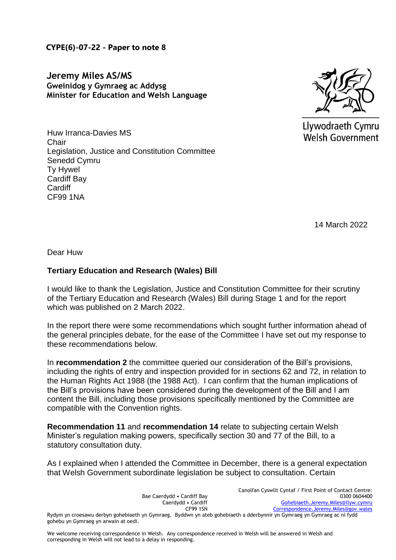**CYPE(6)-07-22 - Paper to note 8**

**Jeremy Miles AS/MS Gweinidog y Gymraeg ac Addysg Minister for Education and Welsh Language** 



Llywodraeth Cymru Welsh Government

Huw Irranca-Davies MS **Chair** Legislation, Justice and Constitution Committee Senedd Cymru Ty Hywel Cardiff Bay **Cardiff** CF99 1NA

14 March 2022

Dear Huw

## **Tertiary Education and Research (Wales) Bill**

I would like to thank the Legislation, Justice and Constitution Committee for their scrutiny of the Tertiary Education and Research (Wales) Bill during Stage 1 and for the report which was published on 2 March 2022.

In the report there were some recommendations which sought further information ahead of the general principles debate, for the ease of the Committee I have set out my response to these recommendations below.

In **recommendation 2** the committee queried our consideration of the Bill's provisions, including the rights of entry and inspection provided for in sections 62 and 72, in relation to the Human Rights Act 1988 (the 1988 Act). I can confirm that the human implications of the Bill's provisions have been considered during the development of the Bill and I am content the Bill, including those provisions specifically mentioned by the Committee are compatible with the Convention rights.

**Recommendation 11** and **recommendation 14** relate to subjecting certain Welsh Minister's regulation making powers, specifically section 30 and 77 of the Bill, to a statutory consultation duty.

As I explained when I attended the Committee in December, there is a general expectation that Welsh Government subordinate legislation be subject to consultation. Certain

|                                                                                                                         | Canolfan Cyswllt Cyntaf / First Point of Contact Centre: |
|-------------------------------------------------------------------------------------------------------------------------|----------------------------------------------------------|
| Bae Caerdydd • Cardiff Bay                                                                                              | 0300 0604400                                             |
| Caerdydd • Cardiff                                                                                                      | Gohebiaeth.Jeremy.Miles@llyw.cymru                       |
| <b>CF99 1SN</b>                                                                                                         | Correspondence.Jeremy.Miles@gov.wales                    |
| Rydym yn croesawu derbyn gohebiaeth yn Gymraeg. Byddwn yn ateb gohebiaeth a dderbynnir yn Gymraeg yn Gymraeg ac ni fydd |                                                          |
| gohebu yn Gymraeg yn arwain at oedi.                                                                                    |                                                          |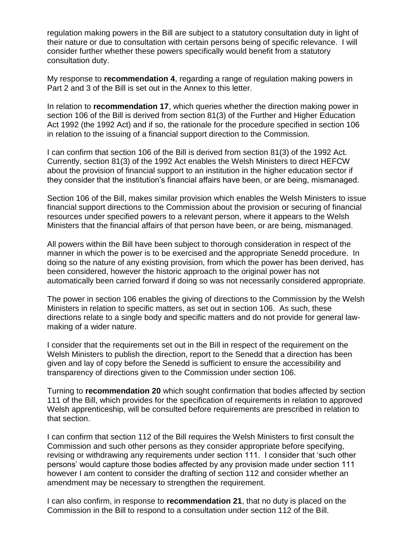regulation making powers in the Bill are subject to a statutory consultation duty in light of their nature or due to consultation with certain persons being of specific relevance. I will consider further whether these powers specifically would benefit from a statutory consultation duty.

My response to **recommendation 4**, regarding a range of regulation making powers in Part 2 and 3 of the Bill is set out in the Annex to this letter.

In relation to **recommendation 17**, which queries whether the direction making power in section 106 of the Bill is derived from section 81(3) of the Further and Higher Education Act 1992 (the 1992 Act) and if so, the rationale for the procedure specified in section 106 in relation to the issuing of a financial support direction to the Commission.

I can confirm that section 106 of the Bill is derived from section 81(3) of the 1992 Act. Currently, section 81(3) of the 1992 Act enables the Welsh Ministers to direct HEFCW about the provision of financial support to an institution in the higher education sector if they consider that the institution's financial affairs have been, or are being, mismanaged.

Section 106 of the Bill, makes similar provision which enables the Welsh Ministers to issue financial support directions to the Commission about the provision or securing of financial resources under specified powers to a relevant person, where it appears to the Welsh Ministers that the financial affairs of that person have been, or are being, mismanaged.

All powers within the Bill have been subject to thorough consideration in respect of the manner in which the power is to be exercised and the appropriate Senedd procedure. In doing so the nature of any existing provision, from which the power has been derived, has been considered, however the historic approach to the original power has not automatically been carried forward if doing so was not necessarily considered appropriate.

The power in section 106 enables the giving of directions to the Commission by the Welsh Ministers in relation to specific matters, as set out in section 106. As such, these directions relate to a single body and specific matters and do not provide for general lawmaking of a wider nature.

I consider that the requirements set out in the Bill in respect of the requirement on the Welsh Ministers to publish the direction, report to the Senedd that a direction has been given and lay of copy before the Senedd is sufficient to ensure the accessibility and transparency of directions given to the Commission under section 106.

Turning to **recommendation 20** which sought confirmation that bodies affected by section 111 of the Bill, which provides for the specification of requirements in relation to approved Welsh apprenticeship, will be consulted before requirements are prescribed in relation to that section.

I can confirm that section 112 of the Bill requires the Welsh Ministers to first consult the Commission and such other persons as they consider appropriate before specifying, revising or withdrawing any requirements under section 111. I consider that 'such other persons' would capture those bodies affected by any provision made under section 111 however I am content to consider the drafting of section 112 and consider whether an amendment may be necessary to strengthen the requirement.

I can also confirm, in response to **recommendation 21**, that no duty is placed on the Commission in the Bill to respond to a consultation under section 112 of the Bill.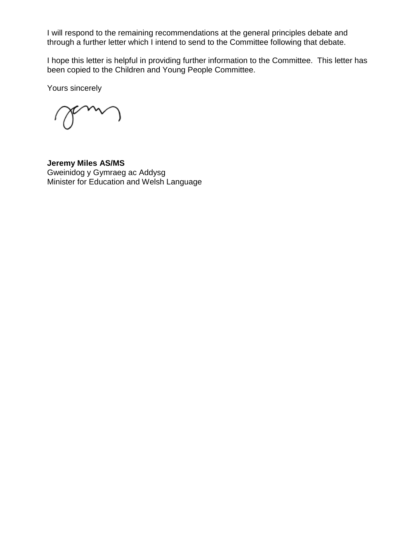I will respond to the remaining recommendations at the general principles debate and through a further letter which I intend to send to the Committee following that debate.

I hope this letter is helpful in providing further information to the Committee. This letter has been copied to the Children and Young People Committee.

Yours sincerely

**Jeremy Miles AS/MS** Gweinidog y Gymraeg ac Addysg Minister for Education and Welsh Language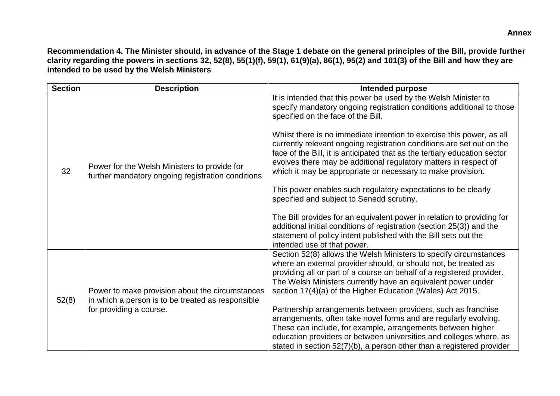**Recommendation 4. The Minister should, in advance of the Stage 1 debate on the general principles of the Bill, provide further clarity regarding the powers in sections 32, 52(8), 55(1)(f), 59(1), 61(9)(a), 86(1), 95(2) and 101(3) of the Bill and how they are intended to be used by the Welsh Ministers** 

| <b>Section</b> | <b>Description</b>                                                                                                              | <b>Intended purpose</b>                                                                                                                                                                                                                                                                                                                                                                                                                                                                                                                                                                                                                                                                                                                                                                                                                                                                                             |
|----------------|---------------------------------------------------------------------------------------------------------------------------------|---------------------------------------------------------------------------------------------------------------------------------------------------------------------------------------------------------------------------------------------------------------------------------------------------------------------------------------------------------------------------------------------------------------------------------------------------------------------------------------------------------------------------------------------------------------------------------------------------------------------------------------------------------------------------------------------------------------------------------------------------------------------------------------------------------------------------------------------------------------------------------------------------------------------|
| 32             | Power for the Welsh Ministers to provide for<br>further mandatory ongoing registration conditions                               | It is intended that this power be used by the Welsh Minister to<br>specify mandatory ongoing registration conditions additional to those<br>specified on the face of the Bill.<br>Whilst there is no immediate intention to exercise this power, as all<br>currently relevant ongoing registration conditions are set out on the<br>face of the Bill, it is anticipated that as the tertiary education sector<br>evolves there may be additional regulatory matters in respect of<br>which it may be appropriate or necessary to make provision.<br>This power enables such regulatory expectations to be clearly<br>specified and subject to Senedd scrutiny.<br>The Bill provides for an equivalent power in relation to providing for<br>additional initial conditions of registration (section 25(3)) and the<br>statement of policy intent published with the Bill sets out the<br>intended use of that power. |
| 52(8)          | Power to make provision about the circumstances<br>in which a person is to be treated as responsible<br>for providing a course. | Section 52(8) allows the Welsh Ministers to specify circumstances<br>where an external provider should, or should not, be treated as<br>providing all or part of a course on behalf of a registered provider.<br>The Welsh Ministers currently have an equivalent power under<br>section 17(4)(a) of the Higher Education (Wales) Act 2015.<br>Partnership arrangements between providers, such as franchise<br>arrangements, often take novel forms and are regularly evolving.<br>These can include, for example, arrangements between higher<br>education providers or between universities and colleges where, as<br>stated in section 52(7)(b), a person other than a registered provider                                                                                                                                                                                                                      |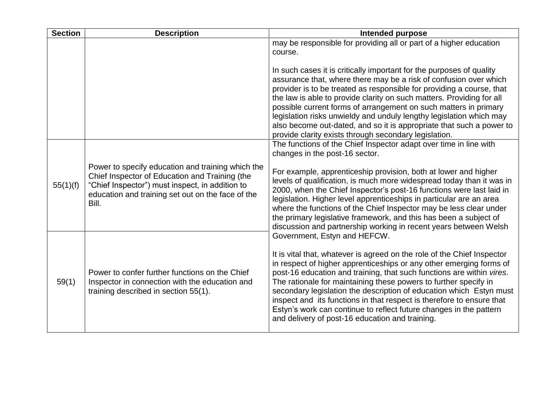| <b>Section</b> | <b>Description</b>                                                                                                                                                                                                   | <b>Intended purpose</b>                                                                                                                                                                                                                                                                                                                                                                                                                                                                                                                                                 |
|----------------|----------------------------------------------------------------------------------------------------------------------------------------------------------------------------------------------------------------------|-------------------------------------------------------------------------------------------------------------------------------------------------------------------------------------------------------------------------------------------------------------------------------------------------------------------------------------------------------------------------------------------------------------------------------------------------------------------------------------------------------------------------------------------------------------------------|
|                |                                                                                                                                                                                                                      | may be responsible for providing all or part of a higher education<br>course.                                                                                                                                                                                                                                                                                                                                                                                                                                                                                           |
|                |                                                                                                                                                                                                                      | In such cases it is critically important for the purposes of quality<br>assurance that, where there may be a risk of confusion over which<br>provider is to be treated as responsible for providing a course, that<br>the law is able to provide clarity on such matters. Providing for all<br>possible current forms of arrangement on such matters in primary<br>legislation risks unwieldy and unduly lengthy legislation which may<br>also become out-dated, and so it is appropriate that such a power to<br>provide clarity exists through secondary legislation. |
|                |                                                                                                                                                                                                                      | The functions of the Chief Inspector adapt over time in line with<br>changes in the post-16 sector.                                                                                                                                                                                                                                                                                                                                                                                                                                                                     |
| 55(1)(f)       | Power to specify education and training which the<br>Chief Inspector of Education and Training (the<br>"Chief Inspector") must inspect, in addition to<br>education and training set out on the face of the<br>Bill. | For example, apprenticeship provision, both at lower and higher<br>levels of qualification, is much more widespread today than it was in<br>2000, when the Chief Inspector's post-16 functions were last laid in<br>legislation. Higher level apprenticeships in particular are an area<br>where the functions of the Chief Inspector may be less clear under<br>the primary legislative framework, and this has been a subject of<br>discussion and partnership working in recent years between Welsh                                                                  |
|                |                                                                                                                                                                                                                      | Government, Estyn and HEFCW.<br>It is vital that, whatever is agreed on the role of the Chief Inspector                                                                                                                                                                                                                                                                                                                                                                                                                                                                 |
| 59(1)          | Power to confer further functions on the Chief<br>Inspector in connection with the education and<br>training described in section 55(1).                                                                             | in respect of higher apprenticeships or any other emerging forms of<br>post-16 education and training, that such functions are within vires.<br>The rationale for maintaining these powers to further specify in<br>secondary legislation the description of education which Estyn must<br>inspect and its functions in that respect is therefore to ensure that<br>Estyn's work can continue to reflect future changes in the pattern<br>and delivery of post-16 education and training.                                                                               |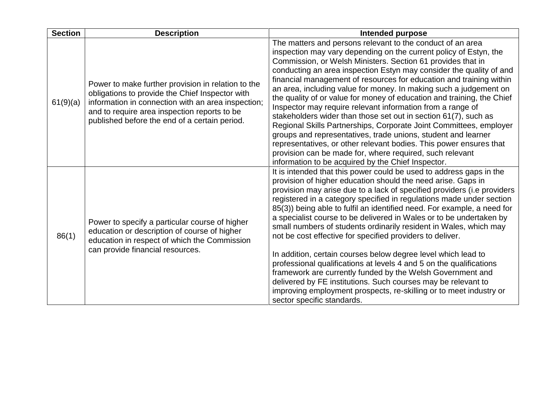| <b>Section</b> | <b>Description</b>                                                                                                                                                                                                                                           | <b>Intended purpose</b>                                                                                                                                                                                                                                                                                                                                                                                                                                                                                                                                                                                                                                                                                                                                                                                                                                                                                                                                     |
|----------------|--------------------------------------------------------------------------------------------------------------------------------------------------------------------------------------------------------------------------------------------------------------|-------------------------------------------------------------------------------------------------------------------------------------------------------------------------------------------------------------------------------------------------------------------------------------------------------------------------------------------------------------------------------------------------------------------------------------------------------------------------------------------------------------------------------------------------------------------------------------------------------------------------------------------------------------------------------------------------------------------------------------------------------------------------------------------------------------------------------------------------------------------------------------------------------------------------------------------------------------|
| 61(9)(a)       | Power to make further provision in relation to the<br>obligations to provide the Chief Inspector with<br>information in connection with an area inspection;<br>and to require area inspection reports to be<br>published before the end of a certain period. | The matters and persons relevant to the conduct of an area<br>inspection may vary depending on the current policy of Estyn, the<br>Commission, or Welsh Ministers. Section 61 provides that in<br>conducting an area inspection Estyn may consider the quality of and<br>financial management of resources for education and training within<br>an area, including value for money. In making such a judgement on<br>the quality of or value for money of education and training, the Chief<br>Inspector may require relevant information from a range of<br>stakeholders wider than those set out in section 61(7), such as<br>Regional Skills Partnerships, Corporate Joint Committees, employer<br>groups and representatives, trade unions, student and learner<br>representatives, or other relevant bodies. This power ensures that<br>provision can be made for, where required, such relevant<br>information to be acquired by the Chief Inspector. |
| 86(1)          | Power to specify a particular course of higher<br>education or description of course of higher<br>education in respect of which the Commission<br>can provide financial resources.                                                                           | It is intended that this power could be used to address gaps in the<br>provision of higher education should the need arise. Gaps in<br>provision may arise due to a lack of specified providers (i.e providers<br>registered in a category specified in regulations made under section<br>85(3)) being able to fulfil an identified need. For example, a need for<br>a specialist course to be delivered in Wales or to be undertaken by<br>small numbers of students ordinarily resident in Wales, which may<br>not be cost effective for specified providers to deliver.<br>In addition, certain courses below degree level which lead to<br>professional qualifications at levels 4 and 5 on the qualifications<br>framework are currently funded by the Welsh Government and<br>delivered by FE institutions. Such courses may be relevant to<br>improving employment prospects, re-skilling or to meet industry or<br>sector specific standards.       |